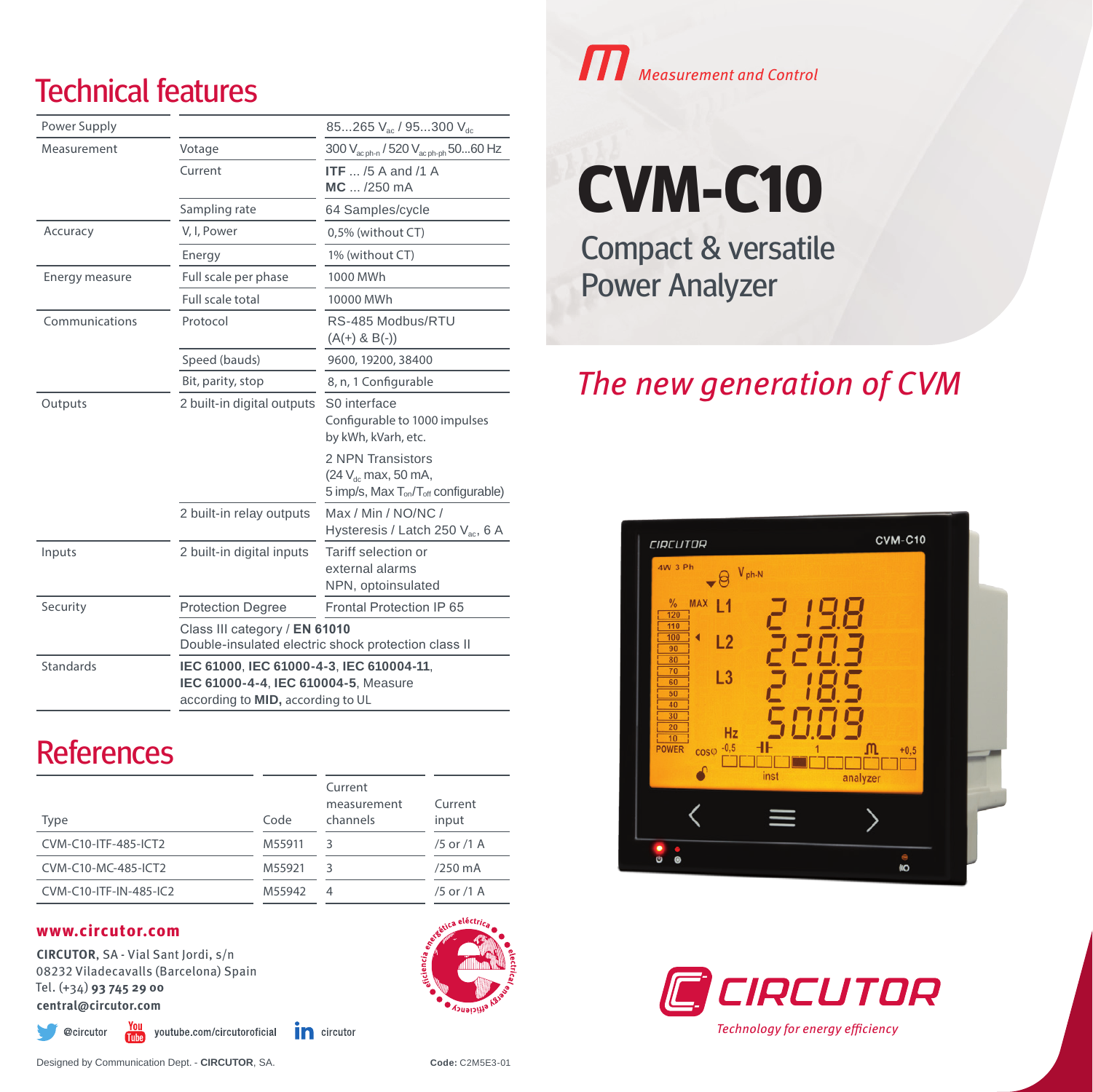## Technical features

| Power Supply     |                                                                                                                       | 85265 V <sub>ac</sub> / 95300 V <sub>dc</sub>                                                                        |  |
|------------------|-----------------------------------------------------------------------------------------------------------------------|----------------------------------------------------------------------------------------------------------------------|--|
| Measurement      | Votage                                                                                                                | 300 V <sub>ac ph-n</sub> / 520 V <sub>ac ph-ph</sub> 5060 Hz                                                         |  |
|                  | Current                                                                                                               | ITF $\ldots$ /5 A and /1 A<br>$MC$ /250 mA                                                                           |  |
|                  | Sampling rate                                                                                                         | 64 Samples/cycle                                                                                                     |  |
| Accuracy         | V, I, Power                                                                                                           | 0,5% (without CT)                                                                                                    |  |
|                  | Energy                                                                                                                | 1% (without CT)                                                                                                      |  |
| Energy measure   | Full scale per phase                                                                                                  | 1000 MWh                                                                                                             |  |
|                  | Full scale total                                                                                                      | 10000 MWh                                                                                                            |  |
| Communications   | Protocol                                                                                                              | RS-485 Modbus/RTU<br>$(A(+) & B(-))$                                                                                 |  |
|                  | Speed (bauds)                                                                                                         | 9600, 19200, 38400                                                                                                   |  |
|                  | Bit, parity, stop                                                                                                     | 8, n, 1 Configurable                                                                                                 |  |
| Outputs          | 2 built-in digital outputs                                                                                            | S0 interface<br>Configurable to 1000 impulses<br>by kWh, kVarh, etc.                                                 |  |
|                  |                                                                                                                       | 2 NPN Transistors<br>(24 V <sub>dc</sub> max, 50 mA,<br>5 imp/s, Max T <sub>on</sub> /T <sub>off</sub> configurable) |  |
|                  | 2 built-in relay outputs                                                                                              | Max / Min / NO/NC /<br>Hysteresis / Latch 250 $V_{ac}$ , 6 A                                                         |  |
| Inputs           | 2 built-in digital inputs                                                                                             | Tariff selection or<br>external alarms<br>NPN, optoinsulated                                                         |  |
| Security         | <b>Protection Degree</b>                                                                                              | Frontal Protection IP 65                                                                                             |  |
|                  | Class III category / EN 61010<br>Double-insulated electric shock protection class II                                  |                                                                                                                      |  |
| <b>Standards</b> | IEC 61000, IEC 61000-4-3, IEC 610004-11,<br>IEC 61000-4-4, IEC 610004-5, Measure<br>according to MID, according to UL |                                                                                                                      |  |

## **References**

| Type                   | Code   | Current<br>measurement<br>channels | Current<br>input |
|------------------------|--------|------------------------------------|------------------|
| CVM-C10-ITF-485-ICT2   | M55911 | 3                                  | /5 or /1 A       |
| CVM-C10-MC-485-ICT2    | M55921 | 3                                  | /250 mA          |
| CVM-C10-ITF-IN-485-IC2 | M55942 | 4                                  | /5 or /1 A       |

#### **www.circutor.com**

**CIRCUTOR**, SA - Vial Sant Jordi, s/n 08232 Viladecavalls (Barcelona) Spain Tel. (+34) **93 745 29 00 central@circutor.com**

> $\frac{\gamma_{01}}{\gamma_{01}}$  youtube.com/circutoroficial @circutor

in circutor



# Measurement and Control

**CVM-C10**

Compact & versatile Power Analyzer

### The new generation of CVM





Technology for energy efficiency

Designed by Communication Dept. - **CIRCUTOR**, SA. **Code:** C2M5E3-01